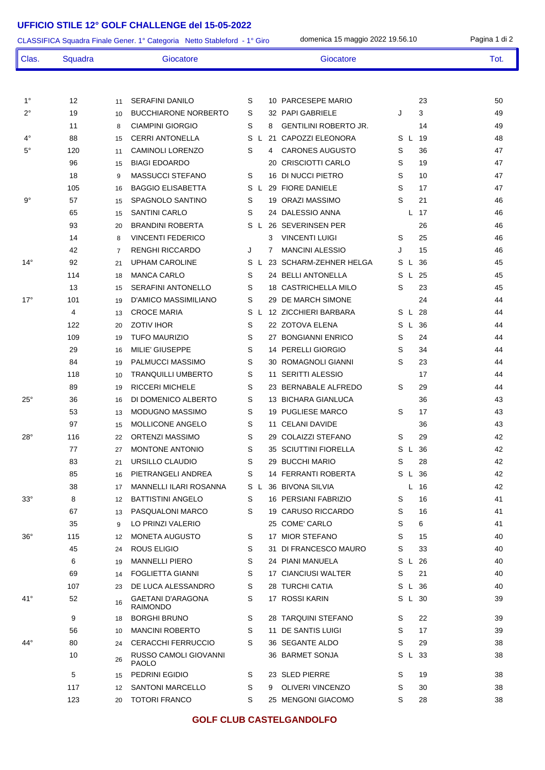## **UFFICIO STILE 12° GOLF CHALLENGE del 15-05-2022**

|              | domenica 15 maggio 2022 19.56.10<br>CLASSIFICA Squadra Finale Gener. 1° Categoria Netto Stableford - 1° Giro |                                                   |                                                            |      |  |  |  |  |  |
|--------------|--------------------------------------------------------------------------------------------------------------|---------------------------------------------------|------------------------------------------------------------|------|--|--|--|--|--|
| Clas.        | Squadra                                                                                                      | Giocatore                                         | Giocatore                                                  | Tot. |  |  |  |  |  |
|              |                                                                                                              |                                                   |                                                            |      |  |  |  |  |  |
| $1^{\circ}$  | 12                                                                                                           | <b>SERAFINI DANILO</b><br>11                      | S<br>10 PARCESEPE MARIO<br>23                              | 50   |  |  |  |  |  |
| $2^{\circ}$  | 19                                                                                                           | <b>BUCCHIARONE NORBERTO</b><br>10                 | 3<br>S<br>32 PAPI GABRIELE<br>J                            | 49   |  |  |  |  |  |
|              | 11                                                                                                           | <b>CIAMPINI GIORGIO</b><br>8                      | S<br><b>GENTILINI ROBERTO JR.</b><br>8<br>14               | 49   |  |  |  |  |  |
| $4^{\circ}$  | 88                                                                                                           | <b>CERRI ANTONELLA</b><br>15                      | <b>CAPOZZI ELEONORA</b><br>S L<br>19<br>S<br>21<br>L.      | 48   |  |  |  |  |  |
| $5^{\circ}$  | 120                                                                                                          | <b>CAMINOLI LORENZO</b><br>11                     | <b>CARONES AUGUSTO</b><br>S<br>S<br>36<br>4                | 47   |  |  |  |  |  |
|              | 96                                                                                                           | <b>BIAGI EDOARDO</b><br>15                        | <b>CRISCIOTTI CARLO</b><br>S<br>19<br>20                   | 47   |  |  |  |  |  |
|              | 18                                                                                                           | <b>MASSUCCI STEFANO</b><br>9                      | S<br>DI NUCCI PIETRO<br>S<br>10<br>16                      | 47   |  |  |  |  |  |
|              | 105                                                                                                          | <b>BAGGIO ELISABETTA</b><br>16                    | S<br>S<br>29 FIORE DANIELE<br>17<br>$\mathsf{L}$           | 47   |  |  |  |  |  |
| $9^{\circ}$  | 57                                                                                                           | SPAGNOLO SANTINO<br>15                            | S<br>21<br>S<br>19 ORAZI MASSIMO                           | 46   |  |  |  |  |  |
|              | 65                                                                                                           | <b>SANTINI CARLO</b><br>15                        | DALESSIO ANNA<br>S<br>L 17<br>24                           | 46   |  |  |  |  |  |
|              | 93                                                                                                           | <b>BRANDINI ROBERTA</b><br>20                     | <b>SEVERINSEN PER</b><br>S<br>26<br>26<br>L                | 46   |  |  |  |  |  |
|              | 14                                                                                                           | <b>VINCENTI FEDERICO</b><br>8                     | <b>VINCENTI LUIGI</b><br>3<br>S<br>25                      | 46   |  |  |  |  |  |
|              | 42                                                                                                           | <b>RENGHI RICCARDO</b><br>7                       | <b>MANCINI ALESSIO</b><br>15<br>J<br>J<br>7                | 46   |  |  |  |  |  |
| $14^{\circ}$ | 92                                                                                                           | <b>UPHAM CAROLINE</b><br>21                       | <b>SCHARM-ZEHNER HELGA</b><br>S<br>S<br>36<br>23<br>L<br>L | 45   |  |  |  |  |  |
|              | 114                                                                                                          | <b>MANCA CARLO</b><br>18                          | S<br>24 BELLI ANTONELLA<br>-25<br>S<br>L.                  | 45   |  |  |  |  |  |
|              | 13                                                                                                           | <b>SERAFINI ANTONELLO</b><br>15                   | 18 CASTRICHELLA MILO<br>23<br>S<br>S                       | 45   |  |  |  |  |  |
| $17^{\circ}$ | 101                                                                                                          | D'AMICO MASSIMILIANO<br>19                        | DE MARCH SIMONE<br>S<br>24<br>29                           | 44   |  |  |  |  |  |
|              | 4                                                                                                            | <b>CROCE MARIA</b><br>13                          | 12 ZICCHIERI BARBARA<br>28<br>S<br>S L<br>L                | 44   |  |  |  |  |  |
|              | 122                                                                                                          | <b>ZOTIV IHOR</b><br>20                           | S<br>22 ZOTOVA ELENA<br>S L 36                             | 44   |  |  |  |  |  |
|              | 109                                                                                                          | <b>TUFO MAURIZIO</b><br>19                        | S<br><b>BONGIANNI ENRICO</b><br>S<br>24<br>27              | 44   |  |  |  |  |  |
|              | 29                                                                                                           | MILIE' GIUSEPPE<br>16                             | S<br>PERELLI GIORGIO<br>S<br>34<br>14                      | 44   |  |  |  |  |  |
|              | 84                                                                                                           | PALMUCCI MASSIMO<br>19                            | S<br>ROMAGNOLI GIANNI<br>S<br>23<br>30                     | 44   |  |  |  |  |  |
|              | 118                                                                                                          | <b>TRANQUILLI UMBERTO</b><br>10                   | S<br><b>SERITTI ALESSIO</b><br>17<br>11                    | 44   |  |  |  |  |  |
|              | 89                                                                                                           | <b>RICCERI MICHELE</b><br>19                      | S<br>23 BERNABALE ALFREDO<br>S<br>29                       | 44   |  |  |  |  |  |
| $25^{\circ}$ | 36                                                                                                           | DI DOMENICO ALBERTO<br>16                         | S<br><b>BICHARA GIANLUCA</b><br>36<br>13.                  | 43   |  |  |  |  |  |
|              | 53                                                                                                           | <b>MODUGNO MASSIMO</b><br>13                      | S<br>19 PUGLIESE MARCO<br>S<br>17                          | 43   |  |  |  |  |  |
|              | 97                                                                                                           | MOLLICONE ANGELO<br>15                            | 11 CELANI DAVIDE<br>S<br>36                                | 43   |  |  |  |  |  |
| $28^\circ$   | 116                                                                                                          | ORTENZI MASSIMO<br>22                             | S<br>29 COLAIZZI STEFANO<br>29<br>S                        | 42   |  |  |  |  |  |
|              | 77                                                                                                           | <b>MONTONE ANTONIO</b><br>27                      | S<br>35 SCIUTTINI FIORELLA<br>S L 36                       | 42   |  |  |  |  |  |
|              | 83                                                                                                           | URSILLO CLAUDIO<br>21                             | S<br>S<br>28<br>29 BUCCHI MARIO                            | 42   |  |  |  |  |  |
|              | 85                                                                                                           | PIETRANGELI ANDREA<br>16                          | 14 FERRANTI ROBERTA<br>S L 36<br>S                         | 42   |  |  |  |  |  |
|              | 38                                                                                                           | MANNELLI ILARI ROSANNA<br>17                      | S L 36 BIVONA SILVIA<br>L 16                               | 42   |  |  |  |  |  |
| $33^\circ$   | 8                                                                                                            | <b>BATTISTINI ANGELO</b><br>12                    | S<br>16 PERSIANI FABRIZIO<br>S<br>16                       | 41   |  |  |  |  |  |
|              | 67                                                                                                           | PASQUALONI MARCO<br>13                            | 19 CARUSO RICCARDO<br>16<br>S<br>S                         | 41   |  |  |  |  |  |
|              | 35                                                                                                           | LO PRINZI VALERIO<br>9                            | 25 COME' CARLO<br>S<br>6                                   | 41   |  |  |  |  |  |
| $36^{\circ}$ | 115                                                                                                          | <b>MONETA AUGUSTO</b><br>12                       | 17 MIOR STEFANO<br>S<br>S<br>15                            | 40   |  |  |  |  |  |
|              | 45                                                                                                           | ROUS ELIGIO<br>24                                 | S<br>31 DI FRANCESCO MAURO<br>33<br>S                      | 40   |  |  |  |  |  |
|              | 6                                                                                                            | <b>MANNELLI PIERO</b><br>19                       | S<br>24 PIANI MANUELA<br>S L 26                            | 40   |  |  |  |  |  |
|              | 69                                                                                                           | <b>FOGLIETTA GIANNI</b><br>14                     | 17 CIANCIUSI WALTER<br>21<br>S<br>S                        | 40   |  |  |  |  |  |
|              | 107                                                                                                          | DE LUCA ALESSANDRO<br>23                          | S<br>28 TURCHI CATIA<br>S L 36                             | 40   |  |  |  |  |  |
| 41°          | 52                                                                                                           | <b>GAETANI D'ARAGONA</b><br>16<br><b>RAIMONDO</b> | 17 ROSSI KARIN<br>S<br>S L 30                              | 39   |  |  |  |  |  |
|              | 9                                                                                                            | <b>BORGHI BRUNO</b><br>18                         | S<br>28 TARQUINI STEFANO<br>S<br>22                        | 39   |  |  |  |  |  |
|              | 56                                                                                                           | <b>MANCINI ROBERTO</b><br>10                      | S<br>S<br>11 DE SANTIS LUIGI<br>17                         | 39   |  |  |  |  |  |
| 44°          | 80                                                                                                           | <b>CERACCHI FERRUCCIO</b><br>24                   | S<br>S<br>36 SEGANTE ALDO<br>29                            | 38   |  |  |  |  |  |
|              | 10                                                                                                           | RUSSO CAMOLI GIOVANNI<br>26<br><b>PAOLO</b>       | 36 BARMET SONJA<br>S L 33                                  | 38   |  |  |  |  |  |
|              | 5                                                                                                            | PEDRINI EGIDIO<br>15                              | 23 SLED PIERRE<br>19<br>S<br>S                             | 38   |  |  |  |  |  |
|              | 117                                                                                                          | <b>SANTONI MARCELLO</b><br>12                     | S<br><b>OLIVERI VINCENZO</b><br>S<br>30<br>9               | 38   |  |  |  |  |  |
|              | 123                                                                                                          | <b>TOTORI FRANCO</b><br>20                        | 25 MENGONI GIACOMO<br>28<br>S<br>S                         | 38   |  |  |  |  |  |

## **GOLF CLUB CASTELGANDOLFO**